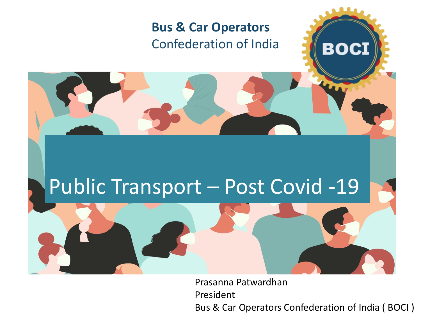## **Bus & Car Operators**  Confederation of India

## Public Transport – Post Covid -19

Prasanna Patwardhan President Bus & Car Operators Confederation of India ( BOCI )

**BOCI**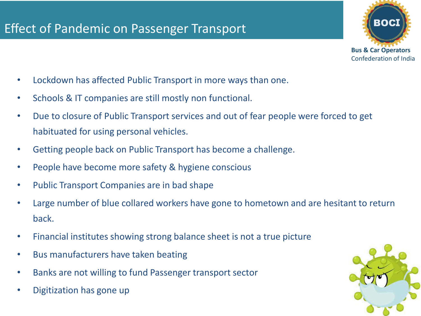

- Lockdown has affected Public Transport in more ways than one.
- Schools & IT companies are still mostly non functional.
- Due to closure of Public Transport services and out of fear people were forced to get habituated for using personal vehicles.
- Getting people back on Public Transport has become a challenge.
- People have become more safety & hygiene conscious
- Public Transport Companies are in bad shape
- Large number of blue collared workers have gone to hometown and are hesitant to return back.
- Financial institutes showing strong balance sheet is not a true picture
- Bus manufacturers have taken beating
- Banks are not willing to fund Passenger transport sector
- Digitization has gone up

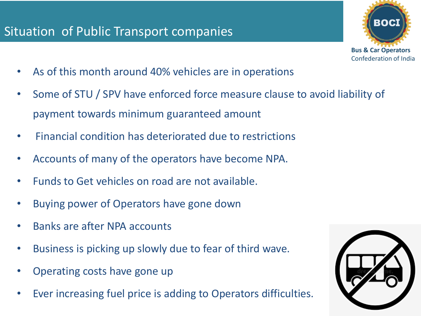## Situation of Public Transport companies



- As of this month around 40% vehicles are in operations
- Some of STU / SPV have enforced force measure clause to avoid liability of payment towards minimum guaranteed amount
- Financial condition has deteriorated due to restrictions
- Accounts of many of the operators have become NPA.
- Funds to Get vehicles on road are not available.
- Buying power of Operators have gone down
- Banks are after NPA accounts
- Business is picking up slowly due to fear of third wave.
- Operating costs have gone up
- Ever increasing fuel price is adding to Operators difficulties.

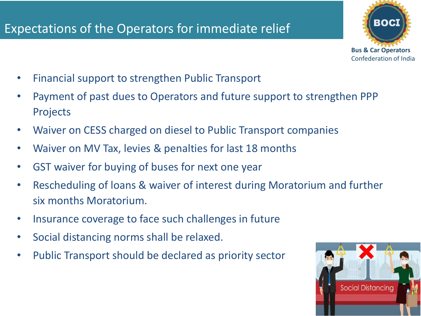## Expectations of the Operators for immediate relief



- Financial support to strengthen Public Transport
- Payment of past dues to Operators and future support to strengthen PPP Projects
- Waiver on CESS charged on diesel to Public Transport companies
- Waiver on MV Tax, levies & penalties for last 18 months
- GST waiver for buying of buses for next one year
- Rescheduling of loans & waiver of interest during Moratorium and further six months Moratorium.
- Insurance coverage to face such challenges in future
- Social distancing norms shall be relaxed.
- Public Transport should be declared as priority sector

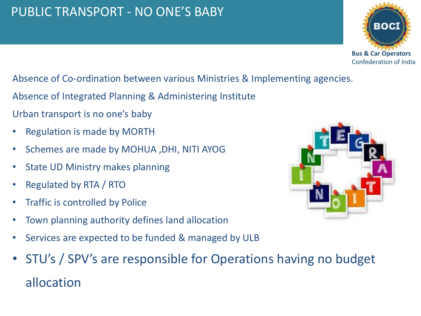## PUBLIC TRANSPORT - NO ONE'S BABY

BOC **Bus & Car Operators**  Confederation of India

#### Absence of Co-ordination between various Ministries & Implementing agencies.

- Absence of Integrated Planning & Administering Institute
- Urban transport is no one's baby
- Regulation is made by MORTH
- Schemes are made by MOHUA ,DHI, NITI AYOG
- State UD Ministry makes planning
- Regulated by RTA / RTO
- Traffic is controlled by Police
- Town planning authority defines land allocation
- Services are expected to be funded & managed by ULB
- STU's / SPV's are responsible for Operations having no budget allocation

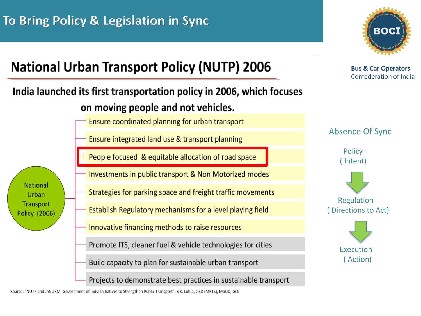

**Bus & Car Operators**  Confederation of India

#### Absence Of Sync



Regulation Directions to Act)



## **National Urban Transport Policy (NUTP) 2006**

### India launched its first transportation policy in 2006, which focuses on moving people and not vehicles.

Ensure coordinated planning for urban transport

Ensure integrated land use & transport planning

iPeople focused & equitable allocation of road space

**National** Urban **Transport** Policy (2006) Investments in public transport & Non Motorized modes

- Strategies for parking space and freight traffic movements
- Establish Regulatory mechanisms for a level playing field
- Innovative financing methods to raise resources
- Promote ITS, cleaner fuel & vehicle technologies for cities

Build capacity to plan for sustainable urban transport

Projects to demonstrate best practices in sustainable transport

Source: "NUTP and JnNURM- Government of India Initiatives to Strengthen Public Transport", S.K. Lohia, OSD (MRTS), MoUD, GOI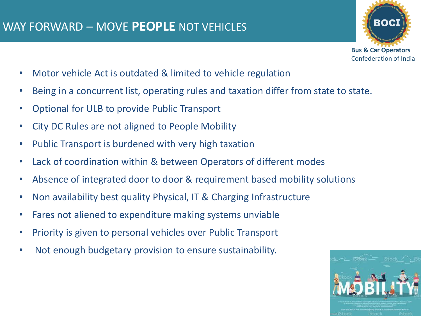

- Motor vehicle Act is outdated & limited to vehicle regulation
- Being in a concurrent list, operating rules and taxation differ from state to state.
- Optional for ULB to provide Public Transport
- City DC Rules are not aligned to People Mobility
- Public Transport is burdened with very high taxation
- Lack of coordination within & between Operators of different modes
- Absence of integrated door to door & requirement based mobility solutions
- Non availability best quality Physical, IT & Charging Infrastructure
- Fares not aliened to expenditure making systems unviable
- Priority is given to personal vehicles over Public Transport
- Not enough budgetary provision to ensure sustainability.

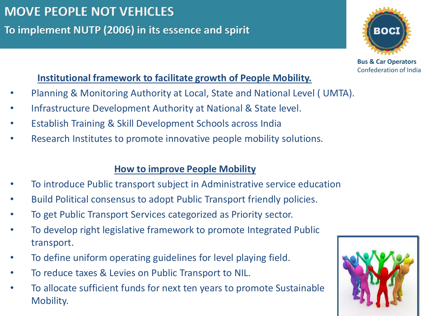**To implement NUTP (2006) in its essence and spirit** 

#### **Institutional framework to facilitate growth of People Mobility.**

- Planning & Monitoring Authority at Local, State and National Level ( UMTA).
- Infrastructure Development Authority at National & State level.
- Establish Training & Skill Development Schools across India
- Research Institutes to promote innovative people mobility solutions.

#### **How to improve People Mobility**

- To introduce Public transport subject in Administrative service education
- Build Political consensus to adopt Public Transport friendly policies.
- To get Public Transport Services categorized as Priority sector.
- To develop right legislative framework to promote Integrated Public transport.
- To define uniform operating guidelines for level playing field.
- To reduce taxes & Levies on Public Transport to NIL.
- To allocate sufficient funds for next ten years to promote Sustainable Mobility.





**Bus & Car Operators**  Confederation of India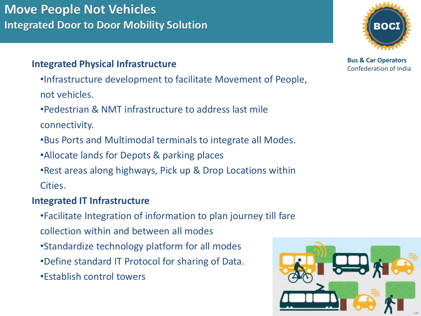## **Move People Not Vehicles Integrated Door to Door Mobility Solution**

#### **Integrated Physical Infrastructure**

•Infrastructure development to facilitate Movement of People, not vehicles.

•Pedestrian & NMT infrastructure to address last mile

connectivity.

•Bus Ports and Multimodal terminals to integrate all Modes.

•Allocate lands for Depots & parking places

•Rest areas along highways, Pick up & Drop Locations within Cities.

#### **Integrated IT Infrastructure**

•Facilitate Integration of information to plan journey till fare

- collection within and between all modes
- •Standardize technology platform for all modes
- •Define standard IT Protocol for sharing of Data.
- •Establish control towers



**Bus & Car Operators**  Confederation of India

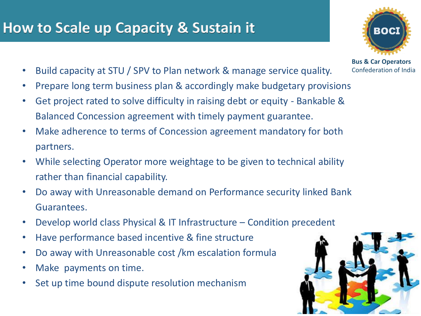## **How to Scale up Capacity & Sustain it**

- Build capacity at STU / SPV to Plan network & manage service quality.
- Prepare long term business plan & accordingly make budgetary provisions
- Get project rated to solve difficulty in raising debt or equity Bankable & Balanced Concession agreement with timely payment guarantee.
- Make adherence to terms of Concession agreement mandatory for both partners.
- While selecting Operator more weightage to be given to technical ability rather than financial capability.
- Do away with Unreasonable demand on Performance security linked Bank Guarantees.
- Develop world class Physical & IT Infrastructure Condition precedent
- Have performance based incentive & fine structure
- Do away with Unreasonable cost /km escalation formula
- Make payments on time.
- Set up time bound dispute resolution mechanism





**Bus & Car Operators**  Confederation of India